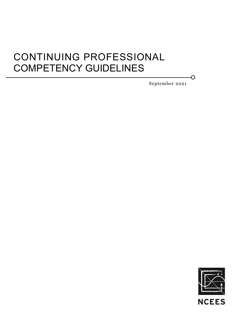# CONTINUING PROFESSIONAL COMPETENCY GUIDELINES

September 2021

O

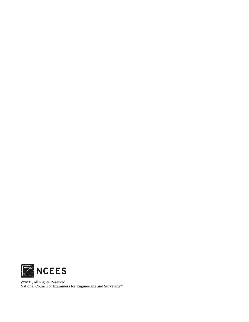

©2021, All Rights Reserved National Council of Examiners for Engineering and Surveying®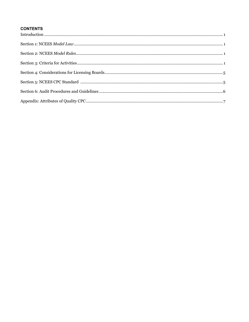## **CONTENTS**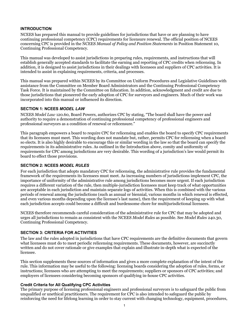## **INTRODUCTION**

NCEES has prepared this manual to provide guidelines for jurisdictions that have or are planning to have continuing professional competency (CPC) requirements for licensure renewal. The official position of NCEES concerning CPC is provided in the NCEES *Manual of Policy and Position Statements* in Position Statement 10, Continuing Professional Competency.

This manual was developed to assist jurisdictions in preparing rules, requirements, and instructions that will establish generally accepted standards to facilitate the earning and reporting of CPC credits when relicensing. In addition, it is designed to assist jurisdictions in their dealings with licensees and suppliers of CPC activities. It is intended to assist in explaining requirements, criteria, and processes.

This manual was prepared within NCEES by its Committee on Uniform Procedures and Legislative Guidelines with assistance from the Committee on Member Board Administrators and the Continuing Professional Competency Task Force. It is maintained by the Committee on Education. In addition, acknowledgment and credit are due to those jurisdictions that pioneered the early adoption of CPC for surveyors and engineers. Much of their work was incorporated into this manual or influenced its direction.

## **SECTION 1: NCEES** *MODEL LAW*

NCEES *Model Law* 120.60, Board Powers, authorizes CPC by stating, "The board shall have the power and authority to require a demonstration of continuing professional competency of professional engineers and professional surveyors as a condition of renewal or relicensure."

This paragraph empowers a board to require CPC for relicensing and enables the board to specify CPC requirements that its licensees must meet. This wording does not mandate but, rather, permits CPC for relicensing when a board so elects. It is also highly desirable to encourage this or similar wording in the law so that the board can specify the requirements in its administrative rules. As outlined in the Introduction above, comity and uniformity of requirements for CPC among jurisdictions are very desirable. This wording of a jurisdiction's law would permit its board to effect those provisions.

## **SECTION 2: NCEES** *MODEL RULES*

For each jurisdiction that adopts mandatory CPC for relicensing, the administrative rule provides the fundamental framework of the requirements its licensees must meet. As increasing numbers of jurisdictions implement CPC, the importance of uniformity of the administrative rule among jurisdictions becomes more urgent. If each jurisdiction requires a different variation of the rule, then multiple-jurisdiction licensees must keep track of what opportunities are acceptable in each jurisdiction and maintain separate logs of activities. When this is combined with the various periods of renewal among the jurisdictions (such as annual or biennial, various months in which renewal is effected, and even various months depending upon the licensee's last name), then the requirement of keeping up with what each jurisdiction accepts could become a difficult and burdensome chore for multijurisdictional licensees.

NCEES therefore recommends careful consideration of the administrative rule for CPC that may be adopted and urges all jurisdictions to remain as consistent with the NCEES *Model Rules* as possible. See *Model Rules* 240.30, Continuing Professional Competency.

## **SECTION 3: CRITERIA FOR ACTIVITIES**

The law and the rules adopted in jurisdictions that have CPC requirements are the definitive documents that govern what licensees must do to meet periodic relicensing requirements. These documents, however, are succinctly written and do not cover rationale or give examples that explain and illustrate in-depth what is expected of the licensee.

This section supplements these sources of information and gives a more complete explanation of the intent of the rule. This information may be useful to the following: licensing boards considering the adoption of rules, forms, or instructions; licensees who are attempting to meet the requirements; suppliers or sponsors of CPC activities; and employers of licensees considering becoming sponsors of qualifying in-house CPC activities.

## **Credit Criteria for All Qualifying CPC Activities**

The primary purpose of licensing professional engineers and professional surveyors is to safeguard the public from unqualified or unethical practitioners. The requirement for CPC is also intended to safeguard the public by reinforcing the need for lifelong learning in order to stay current with changing technology, equipment, procedures,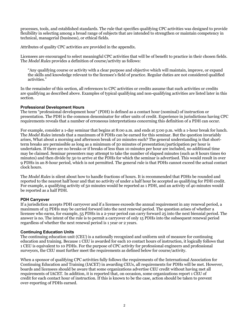processes, tools, and established standards. The rule that specifies qualifying CPC activities was designed to provide flexibility in selecting among a broad range of subjects that are intended to strengthen or maintain competency in technical, managerial (business), or ethical fields.

Attributes of quality CPC activities are provided in the appendix.

Licensees are encouraged to select meaningful CPC activities that will be of benefit to practice in their chosen fields. The *Model Rules* provides a definition of course/activity as follows:

"Any qualifying course or activity with a clear purpose and objective which will maintain, improve, or expand the skills and knowledge relevant to the licensee's field of practice. Regular duties are not considered qualified activities."

In the remainder of this section, all references to CPC activities or credits assume that such activities or credits are qualifying as described above. Examples of typical qualifying and non-qualifying activities are listed later in this section.

## **Professional Development Hours**

The term "professional development hour" (PDH) is defined as a contact hour (nominal) of instruction or presentation. The PDH is the common denominator for other units of credit. Experience in jurisdictions having CPC requirements reveals that a number of erroneous interpretations concerning this definition of a PDH can occur.

For example, consider a 1-day seminar that begins at 8:00 a.m. and ends at 5:00 p.m. with a 1-hour break for lunch. The *Model Rules* intends that a maximum of 8 PDHs can be earned for this seminar. But the question invariably arises, What about a morning and afternoon break of 20 minutes each? The general understanding is that shortterm breaks are permissible as long as a minimum of 50 minutes of presentation/participation per hour is undertaken. If there are no breaks or if breaks of less than 10 minutes per hour are included, no additional time may be claimed. Seminar presenters may attempt to take the number of elapsed minutes (such as 8 hours times 60 minutes) and then divide by 50 to arrive at the PDHs for which the seminar is advertised. This would result in over 9 PDHs in an 8-hour period, which is not permitted. The general rule is that PDHs cannot exceed the actual contact clock hours.

The *Model Rules* is silent about how to handle fractions of hours. It is recommended that PDHs be rounded and reported to the nearest half hour and that no activity of under a half hour be accepted as qualifying for PDH credit. For example, a qualifying activity of 50 minutes would be reported as 1 PDH, and an activity of 40 minutes would be reported as a half PDH.

#### **PDH Carryover**

If a jurisdiction accepts PDH carryover and if a licensee exceeds the annual requirement in any renewal period, a maximum of 15 PDHs may be carried forward into the next renewal period. The question arises of whether a licensee who earns, for example, 55 PDHs in a 2-year period can carry forward 25 into the next biennial period. The answer is no. The intent of the rule is to permit a carryover of only 15 PDHs into the subsequent renewal period regardless of whether the next renewal period is 1 year or 2 years.

#### **Continuing Education Units**

The continuing education unit (CEU) is a nationally recognized and uniform unit of measure for continuing education and training. Because 1 CEU is awarded for each 10 contact hours of instruction, it logically follows that 1 CEU is equivalent to 10 PDHs. For the purpose of CPC activity for professional engineers and professional surveyors, the CEU must further meet the requirements as defined below for course/activity.

When a sponsor of qualifying CPC activities fully follows the requirements of the International Association for Continuing Education and Training (IACET) in awarding CEUs, all requirements for PDHs will be met. However, boards and licensees should be aware that some organizations advertise CEU credit without having met all requirements of IACET. In addition, it is reported that, on occasion, some organizations report 1 CEU of credit for each contact hour of instruction. If this is known to be the case, action should be taken to prevent over-reporting of PDHs earned.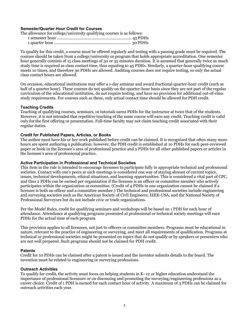#### **Semester/Quarter Hour Credit for Courses**

| The allowance for college/university qualifying courses is as follows: |  |
|------------------------------------------------------------------------|--|
|                                                                        |  |
|                                                                        |  |

To qualify for this credit, a course must be offered regularly and testing with a passing grade must be required. The courses should be taken from a college/university or program that holds appropriate accreditation. One semester hour generally consists of 15 class meetings of 50 or 55 minutes duration. It is assumed that generally twice as much study time is required as class contact time, thus equating to 45 PDHs. Similarly, a quarter-hour qualifying course meets 10 times, and therefore 30 PDHs are allowed. Auditing courses does not require testing, so only the actual class contact hours are allowed.

On occasion, educational institutions may offer a 1-day seminar and award fractional quarter-hour credit (such as half of a quarter hour). These courses do not qualify on the quarter-hour basis since they are not part of the regular curriculum of the educational institution, do not require testing, and have no provision for additional out-of-class study requirements. For courses such as these, only actual contact time should be allowed for PDH credit.

#### **Teaching Credits**

Teaching of qualifying courses, seminars, or tutorials earns PDHs for the instructor at twice that of the students. However, it is not intended that repetitive teaching of the same course will earn any credit. Teaching credit is valid only for the first offering or presentation. Full-time faculty may not claim teaching credit associated with their regular duties.

#### **Credit for Published Papers, Articles, or Books**

The author must have his or her work published before credit can be claimed. It is recognized that often many more hours are spent authoring a publication; however, the PDH credit is established at 10 PDHs for each peer-reviewed paper or book in the licensee's area of professional practice and 5 PDHs for all other published papers or articles in the licensee's area of professional practice.

#### **Active Participation in Professional and Technical Societies**

This item in the rule is intended to encourage licensees to participate fully in appropriate technical and professional societies. Contact with one's peers at such meetings is considered one way of staying abreast of current topics, issues, technical developments, ethical situations, and learning opportunities. This is considered a vital part of CPC, and thus 2 PDHs can be earned per organization if the licensee is an officer or committee member who actively participates within the organization or committee. (Credit of 4 PDHs in one organization cannot be claimed if a licensee is both an officer and a committee member.) The technical and professional societies include engineering and surveying societies such as the American Society of Civil Engineers, IEEE-USA, and the National Society of Professional Surveyors but do not include civic or trade organizations.

Per the *Model Rules*, credit for qualifying seminars and workshops will be based on 1 PDH for each hour of attendance. Attendance at qualifying programs presented at professional or technical society meetings will earn PDHs for the actual time of each program.

This provision applies to all licensees, not just to officers or committee members. Programs must be educational in nature, relevant to the practice of engineering or surveying, and meet all requirements of qualification. Programs at technical or professional societies might be presented on topics that do not qualify or by speakers or presenters who are not well prepared. Such programs should not be claimed for PDH credit.

#### **Patents**

Credit for 10 PDHs can be claimed after a patent is issued and the inventor submits details to the board. The invention must be related to engineering or surveying professions.

#### **Outreach Activities**

To qualify for credit, the activity must focus on helping students in K–12 or higher education understand the importance of professional licensure or on discussing and promoting the surveying/engineering professions as a career choice. Credit of 1 PDH is earned for each contact hour of activity. A maximum of 3 PDHs can be claimed for outreach activities each year.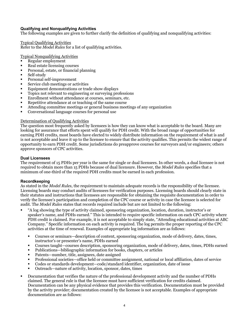## **Qualifying and Nonqualifying Activities**

The following examples are given to further clarify the definition of qualifying and nonqualifying activities:

Typical Qualifying Activities Refer to the *Model Rules* for a list of qualifying activities.

Typical Nonqualifying Activities

- § Regular employment
- § Real estate licensing courses
- Personal, estate, or financial planning
- Self-study
- Personal self-improvement
- Service club meetings or activities
- Equipment demonstrations or trade show displays
- Topics not relevant to engineering or surveying professions
- Enrollment without attendance at courses, seminars, etc.
- Repetitive attendance at or teaching of the same course
- § Attending committee meetings or general business meetings of any organization
- § Conversational language courses for personal use

#### Determination of Qualifying Activities

The question most frequently asked by licensees is how they can know what is acceptable to the board. Many are looking for assurance that efforts spent will qualify for PDH credit. With the broad range of opportunities for earning PDH credits, most boards have elected to widely distribute information on the requirement of what is and is not acceptable and leave it up to the licensee to ensure that the activity qualifies. This permits the widest range of opportunity to earn PDH credit. Some jurisdictions do preapprove courses for surveyors and/or engineers; others approve sponsors of CPC activities.

## **Dual Licensees**

The requirement of 15 PDHs per year is the same for single or dual licensees. In other words, a dual licensee is not required to obtain more than 15 PDHs because of dual licensure. However, the *Model Rules* specifies that a minimum of one-third of the required PDH credits must be earned in each profession.

#### **Recordkeeping**

As stated in the *Model Rules*, the requirement to maintain adequate records is the responsibility of the licensee. Licensing boards may conduct audits of licensees for verification purposes. Licensing boards should clearly state in their statutes and instructions that licensees are responsible for obtaining the requisite documentation in order to verify the licensee's participation and completion of the CPC course or activity in case the licensee is selected for audit. The *Model Rules* states that records required include but are not limited to the following:

- § "A log showing the type of activity claimed, sponsoring organization, location, duration, instructor's or speaker's name, and PDHs earned." This is intended to require specific information on each CPC activity where PDH credit is claimed. For example, it is not acceptable to simply state, "Attending educational activities at ABC Company." Specific information on each activity is required. The log permits the proper reporting of the CPC activities at the time of renewal. Examples of appropriate log information are as follows:
	- § Courses or seminars—description of content, sponsoring organization, mode of delivery, dates, times, instructor's or presenter's name, PDHs earned
	- § Courses taught—courses description, sponsoring organization, mode of delivery, dates, times, PDHs earned
	- Publications—bibliographic information for books, chapters, or articles
	- § Patents—number, title, assignees, date assigned
	- § Professional societies—office held or committee assignment, national or local affiliation, dates of service
	- Codes or standards development—code/standard identifier, organization, date of issue
	- § Outreach—nature of activity, location, sponsor, dates, times
- § Documentation that verifies the nature of the professional development activity and the number of PDHs claimed. The general rule is that the licensee must have sufficient verification for credits claimed. Documentation can be any physical evidence that provides this verification. Documentation must be provided by the activity provider; documentation created by the licensee is not acceptable. Examples of appropriate documentation are as follows: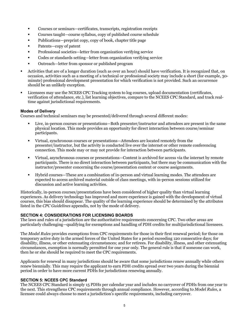- § Courses or seminars—certificates, transcripts, registration receipts
- § Courses taught—course syllabus, copy of published course schedule
- § Publications—preprint copy, copy of book, chapter title page
- § Patents—copy of patent
- § Professional societies—letter from organization verifying service
- § Codes or standards setting—letter from organization verifying service
- § Outreach—letter from sponsor or published program
- § Activities that are of a longer duration (such as over an hour) should have verification. It is recognized that, on occasion, activities such as a meeting of a technical or professional society may include a short (for example, 30 minute) professional development presentation for which verification is not provided. Such an occurrence should be an unlikely exception.
- Licensees may use the NCEES CPC Tracking system to log courses, upload documentation (certificates, verification of attendance, etc.), list learning objectives, compare to the NCEES CPC Standard, and track realtime against jurisdictional requirements.

#### **Modes of Delivery**

Courses and technical seminars may be presented/delivered through several different modes:

- § Live, in-person courses or presentations—Both presenter/instructor and attendees are present in the same physical location. This mode provides an opportunity for direct interaction between course/seminar participants.
- § Virtual, synchronous courses or presentations—Attendees are located remotely from the presenter/instructor, but the activity is conducted live over the internet or other remote conferencing connection. This mode may or may not provide for interaction between participants.
- § Virtual, asynchronous courses or presentations—Content is archived for access via the internet by remote participants. There is no direct interaction between participants, but there may be communication with the instructor/presenter concerning the course/presentation content or course assignments.
- § Hybrid courses—These are a combination of in-person and virtual learning modes. The attendees are expected to access archived material outside of class meetings, with in-person sessions utilized for discussion and active learning activities.

Historically, in-person courses/presentations have been considered of higher quality than virtual learning experiences. As delivery technology has improved and more experience is gained with the development of virtual courses, this bias should disappear. The quality of the learning experience should be determined by the attributes listed in the *CPC Guidelines* appendix, not by the mode of delivery.

#### **SECTION 4: CONSIDERATIONS FOR LICENSING BOARDS**

The laws and rules of a jurisdiction are the authoritative requirements concerning CPC. Two other areas are particularly challenging—qualifying for exemptions and handling of PDH credits for multijurisdictional licensees.

The *Model Rules* provides exemptions from CPC requirements for those in their first renewal period; for those on temporary active duty in the armed forces of the United States for a period exceeding 120 consecutive days; for disability, illness, or other extenuating circumstances; and for retirees. For disability, illness, and other extenuating circumstances, exemption is normally permitted for one year only. The general rule is that if someone can work, then he or she should be required to meet the CPC requirements.

Applicants for renewal in many jurisdictions should be aware that some jurisdictions renew annually while others renew biennially. This may require the applicant to earn PDH credits spread over two years during the biennial period in order to have more current PDHs for jurisdictions renewing annually.

#### **SECTION 5: NCEES CPC Standard**

The NCEES CPC Standard is simply 15 PDHs per calendar year and includes no carryover of PDHs from one year to the next. This strengthens CPC requirements through annual compliance. However, according to *Model Rules*, a licensee could always choose to meet a jurisdiction's specific requirements, including carryover.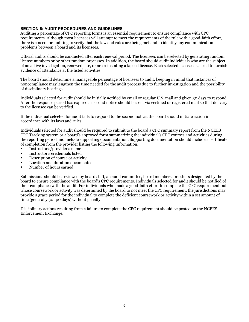## **SECTION 6: AUDIT PROCEDURES AND GUIDELINES**

Auditing a percentage of CPC reporting forms is an essential requirement to ensure compliance with CPC requirements. Although most licensees will attempt to meet the requirements of the rule with a good-faith effort, there is a need for auditing to verify that the law and rules are being met and to identify any communication problems between a board and its licensees.

Official audits should be conducted after each renewal period. The licensees can be selected by generating random license numbers or by other random processes. In addition, the board should audit individuals who are the subject of an active investigation, renewed late, or are reinstating a lapsed license. Each selected licensee is asked to furnish evidence of attendance at the listed activities.

The board should determine a manageable percentage of licensees to audit, keeping in mind that instances of noncompliance may lengthen the time needed for the audit process due to further investigation and the possibility of disciplinary hearings.

Individuals selected for audit should be initially notified by email or regular U.S. mail and given 30 days to respond. After the response period has expired, a second notice should be sent via certified or registered mail so that delivery to the licensee can be verified.

If the individual selected for audit fails to respond to the second notice, the board should initiate action in accordance with its laws and rules.

Individuals selected for audit should be required to submit to the board a CPC summary report from the NCEES CPC Tracking system or a board's approved form summarizing the individual's CPC courses and activities during the reporting period and include supporting documentation. Supporting documentation should include a certificate of completion from the provider listing the following information:

- Instructor's/provider's name
- Instructor's credentials listed
- Description of course or activity
- Location and duration documented
- § Number of hours earned

Submissions should be reviewed by board staff, an audit committee, board members, or others designated by the board to ensure compliance with the board's CPC requirements. Individuals selected for audit should be notified of their compliance with the audit. For individuals who made a good-faith effort to complete the CPC requirement but whose coursework or activity was determined by the board to not meet the CPC requirement, the jurisdictions may provide a grace period for the individual to complete the deficient coursework or activity within a set amount of time (generally 30–90 days) without penalty.

Disciplinary actions resulting from a failure to complete the CPC requirement should be posted on the NCEES Enforcement Exchange.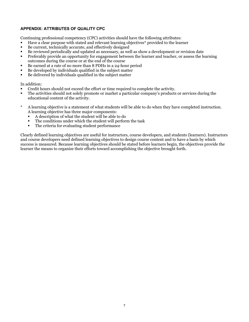## **APPENDIX: ATTRIBUTES OF QUALITY CPC**

Continuing professional competency (CPC) activities should have the following attributes:

- Have a clear purpose with stated and relevant learning objectives\* provided to the learner
- Be current, technically accurate, and effectively designed
- Be reviewed periodically and updated as necessary, as well as show a development or revision date
- Preferably provide an opportunity for engagement between the learner and teacher, or assess the learning outcomes during the course or at the end of the course
- Be earned at a rate of no more than 8 PDHs in a 24-hour period
- Be developed by individuals qualified in the subject matter
- Be delivered by individuals qualified in the subject matter

#### In addition:

- § Credit hours should not exceed the effort or time required to complete the activity.
- § The activities should not solely promote or market a particular company's products or services during the educational content of the activity.
- \* A learning objective is a statement of what students will be able to do when they have completed instruction. A learning objective has three major components:
	- § A description of what the student will be able to do
	- The conditions under which the student will perform the task
	- The criteria for evaluating student performance

Clearly defined learning objectives are useful for instructors, course developers, and students (learners). Instructors and course developers need defined learning objectives to design course content and to have a basis by which success is measured. Because learning objectives should be stated before learners begin, the objectives provide the learner the means to organize their efforts toward accomplishing the objective brought forth.